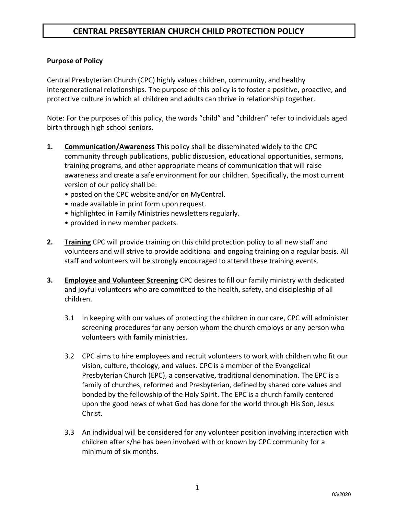#### **Purpose of Policy**

Central Presbyterian Church (CPC) highly values children, community, and healthy intergenerational relationships. The purpose of this policy is to foster a positive, proactive, and protective culture in which all children and adults can thrive in relationship together.

Note: For the purposes of this policy, the words "child" and "children" refer to individuals aged birth through high school seniors.

- **1. Communication/Awareness** This policy shall be disseminated widely to the CPC community through publications, public discussion, educational opportunities, sermons, training programs, and other appropriate means of communication that will raise awareness and create a safe environment for our children. Specifically, the most current version of our policy shall be:
	- posted on the CPC website and/or on MyCentral.
	- made available in print form upon request.
	- highlighted in Family Ministries newsletters regularly.
	- provided in new member packets.
- **2. Training** CPC will provide training on this child protection policy to all new staff and volunteers and will strive to provide additional and ongoing training on a regular basis. All staff and volunteers will be strongly encouraged to attend these training events.
- **3. Employee and Volunteer Screening** CPC desires to fill our family ministry with dedicated and joyful volunteers who are committed to the health, safety, and discipleship of all children.
	- 3.1 In keeping with our values of protecting the children in our care, CPC will administer screening procedures for any person whom the church employs or any person who volunteers with family ministries.
	- 3.2 CPC aims to hire employees and recruit volunteers to work with children who fit our vision, culture, theology, and values. CPC is a member of the Evangelical Presbyterian Church (EPC), a conservative, traditional denomination. The EPC is a family of churches, reformed and Presbyterian, defined by shared core values and bonded by the fellowship of the Holy Spirit. The EPC is a church family centered upon the good news of what God has done for the world through His Son, Jesus Christ.
	- 3.3 An individual will be considered for any volunteer position involving interaction with children after s/he has been involved with or known by CPC community for a minimum of six months.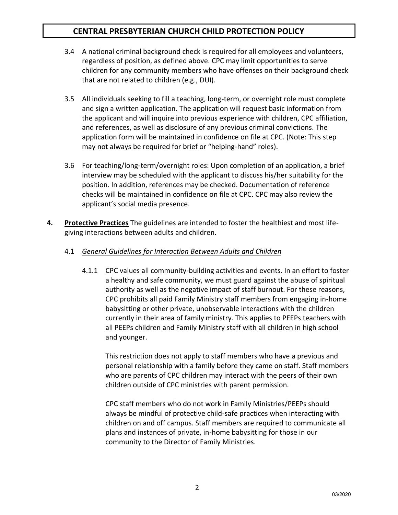- 3.4 A national criminal background check is required for all employees and volunteers, regardless of position, as defined above. CPC may limit opportunities to serve children for any community members who have offenses on their background check that are not related to children (e.g., DUI).
- 3.5 All individuals seeking to fill a teaching, long-term, or overnight role must complete and sign a written application. The application will request basic information from the applicant and will inquire into previous experience with children, CPC affiliation, and references, as well as disclosure of any previous criminal convictions. The application form will be maintained in confidence on file at CPC. (Note: This step may not always be required for brief or "helping-hand" roles).
- 3.6 For teaching/long-term/overnight roles: Upon completion of an application, a brief interview may be scheduled with the applicant to discuss his/her suitability for the position. In addition, references may be checked. Documentation of reference checks will be maintained in confidence on file at CPC. CPC may also review the applicant's social media presence.
- **4. Protective Practices** The guidelines are intended to foster the healthiest and most lifegiving interactions between adults and children.
	- 4.1 *General Guidelines for Interaction Between Adults and Children*
		- 4.1.1 CPC values all community-building activities and events. In an effort to foster a healthy and safe community, we must guard against the abuse of spiritual authority as well as the negative impact of staff burnout. For these reasons, CPC prohibits all paid Family Ministry staff members from engaging in-home babysitting or other private, unobservable interactions with the children currently in their area of family ministry. This applies to PEEPs teachers with all PEEPs children and Family Ministry staff with all children in high school and younger.

This restriction does not apply to staff members who have a previous and personal relationship with a family before they came on staff. Staff members who are parents of CPC children may interact with the peers of their own children outside of CPC ministries with parent permission.

CPC staff members who do not work in Family Ministries/PEEPs should always be mindful of protective child-safe practices when interacting with children on and off campus. Staff members are required to communicate all plans and instances of private, in-home babysitting for those in our community to the Director of Family Ministries.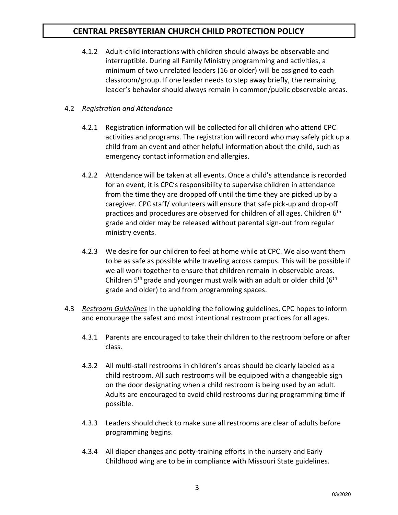4.1.2 Adult-child interactions with children should always be observable and interruptible. During all Family Ministry programming and activities, a minimum of two unrelated leaders (16 or older) will be assigned to each classroom/group. If one leader needs to step away briefly, the remaining leader's behavior should always remain in common/public observable areas.

### 4.2 *Registration and Attendance*

- 4.2.1 Registration information will be collected for all children who attend CPC activities and programs. The registration will record who may safely pick up a child from an event and other helpful information about the child, such as emergency contact information and allergies.
- 4.2.2 Attendance will be taken at all events. Once a child's attendance is recorded for an event, it is CPC's responsibility to supervise children in attendance from the time they are dropped off until the time they are picked up by a caregiver. CPC staff/ volunteers will ensure that safe pick-up and drop-off practices and procedures are observed for children of all ages. Children 6<sup>th</sup> grade and older may be released without parental sign-out from regular ministry events.
- 4.2.3 We desire for our children to feel at home while at CPC. We also want them to be as safe as possible while traveling across campus. This will be possible if we all work together to ensure that children remain in observable areas. Children  $5<sup>th</sup>$  grade and younger must walk with an adult or older child ( $6<sup>th</sup>$ grade and older) to and from programming spaces.
- 4.3 *Restroom Guidelines* In the upholding the following guidelines, CPC hopes to inform and encourage the safest and most intentional restroom practices for all ages.
	- 4.3.1 Parents are encouraged to take their children to the restroom before or after class.
	- 4.3.2 All multi-stall restrooms in children's areas should be clearly labeled as a child restroom. All such restrooms will be equipped with a changeable sign on the door designating when a child restroom is being used by an adult. Adults are encouraged to avoid child restrooms during programming time if possible.
	- 4.3.3 Leaders should check to make sure all restrooms are clear of adults before programming begins.
	- 4.3.4 All diaper changes and potty-training efforts in the nursery and Early Childhood wing are to be in compliance with Missouri State guidelines.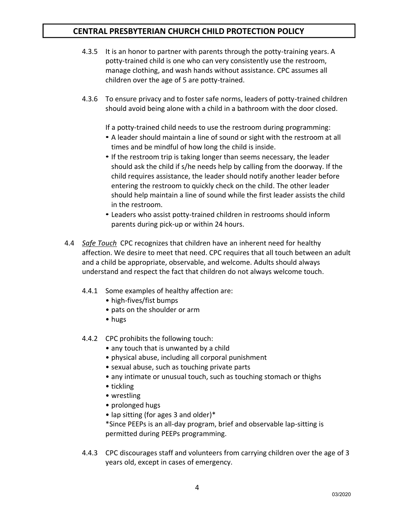- 4.3.5 It is an honor to partner with parents through the potty-training years. A potty-trained child is one who can very consistently use the restroom, manage clothing, and wash hands without assistance. CPC assumes all children over the age of 5 are potty-trained.
- 4.3.6 To ensure privacy and to foster safe norms, leaders of potty-trained children should avoid being alone with a child in a bathroom with the door closed.

If a potty-trained child needs to use the restroom during programming:

- A leader should maintain a line of sound or sight with the restroom at all times and be mindful of how long the child is inside.
- If the restroom trip is taking longer than seems necessary, the leader should ask the child if s/he needs help by calling from the doorway. If the child requires assistance, the leader should notify another leader before entering the restroom to quickly check on the child. The other leader should help maintain a line of sound while the first leader assists the child in the restroom.
- Leaders who assist potty-trained children in restrooms should inform parents during pick-up or within 24 hours.
- 4.4 *Safe Touch* CPC recognizes that children have an inherent need for healthy affection. We desire to meet that need. CPC requires that all touch between an adult and a child be appropriate, observable, and welcome. Adults should always understand and respect the fact that children do not always welcome touch.
	- 4.4.1 Some examples of healthy affection are:
		- high-fives/fist bumps
		- pats on the shoulder or arm
		- hugs
	- 4.4.2 CPC prohibits the following touch:
		- any touch that is unwanted by a child
		- physical abuse, including all corporal punishment
		- sexual abuse, such as touching private parts
		- any intimate or unusual touch, such as touching stomach or thighs
		- tickling
		- wrestling
		- prolonged hugs
		- lap sitting (for ages 3 and older)\*

\*Since PEEPs is an all-day program, brief and observable lap-sitting is permitted during PEEPs programming.

4.4.3 CPC discourages staff and volunteers from carrying children over the age of 3 years old, except in cases of emergency.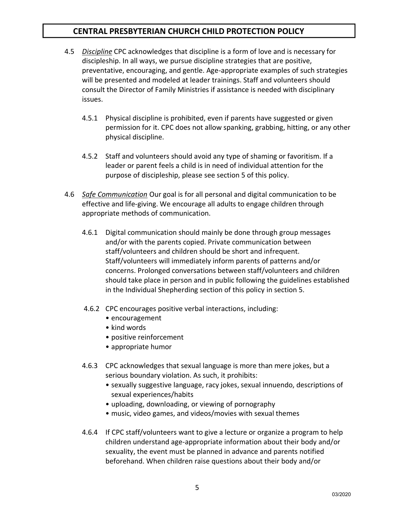- 4.5 *Discipline* CPC acknowledges that discipline is a form of love and is necessary for discipleship. In all ways, we pursue discipline strategies that are positive, preventative, encouraging, and gentle. Age-appropriate examples of such strategies will be presented and modeled at leader trainings. Staff and volunteers should consult the Director of Family Ministries if assistance is needed with disciplinary issues.
	- 4.5.1 Physical discipline is prohibited, even if parents have suggested or given permission for it. CPC does not allow spanking, grabbing, hitting, or any other physical discipline.
	- 4.5.2 Staff and volunteers should avoid any type of shaming or favoritism. If a leader or parent feels a child is in need of individual attention for the purpose of discipleship, please see section 5 of this policy.
- 4.6 *Safe Communication* Our goal is for all personal and digital communication to be effective and life-giving. We encourage all adults to engage children through appropriate methods of communication.
	- 4.6.1 Digital communication should mainly be done through group messages and/or with the parents copied. Private communication between staff/volunteers and children should be short and infrequent. Staff/volunteers will immediately inform parents of patterns and/or concerns. Prolonged conversations between staff/volunteers and children should take place in person and in public following the guidelines established in the Individual Shepherding section of this policy in section 5.
	- 4.6.2 CPC encourages positive verbal interactions, including:
		- encouragement
		- kind words
		- positive reinforcement
		- appropriate humor
	- 4.6.3 CPC acknowledges that sexual language is more than mere jokes, but a serious boundary violation. As such, it prohibits:
		- sexually suggestive language, racy jokes, sexual innuendo, descriptions of sexual experiences/habits
		- uploading, downloading, or viewing of pornography
		- music, video games, and videos/movies with sexual themes
	- 4.6.4 If CPC staff/volunteers want to give a lecture or organize a program to help children understand age-appropriate information about their body and/or sexuality, the event must be planned in advance and parents notified beforehand. When children raise questions about their body and/or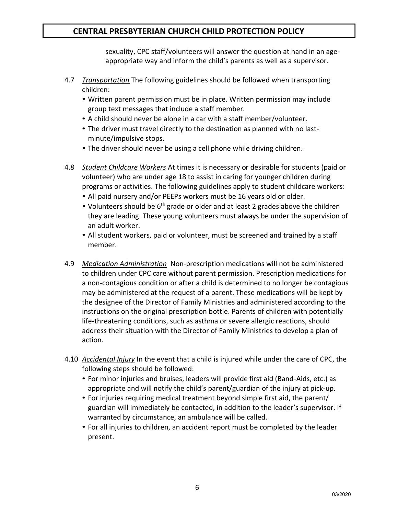sexuality, CPC staff/volunteers will answer the question at hand in an ageappropriate way and inform the child's parents as well as a supervisor.

- 4.7 *Transportation* The following guidelines should be followed when transporting children:
	- Written parent permission must be in place. Written permission may include group text messages that include a staff member*.*
	- A child should never be alone in a car with a staff member/volunteer.
	- The driver must travel directly to the destination as planned with no lastminute/impulsive stops.
	- The driver should never be using a cell phone while driving children.
- 4.8 *Student Childcare Workers* At times it is necessary or desirable for students (paid or volunteer) who are under age 18 to assist in caring for younger children during programs or activities. The following guidelines apply to student childcare workers:
	- All paid nursery and/or PEEPs workers must be 16 years old or older.
	- Volunteers should be 6<sup>th</sup> grade or older and at least 2 grades above the children they are leading. These young volunteers must always be under the supervision of an adult worker.
	- All student workers, paid or volunteer, must be screened and trained by a staff member.
- 4.9 *Medication Administration* Non-prescription medications will not be administered to children under CPC care without parent permission. Prescription medications for a non-contagious condition or after a child is determined to no longer be contagious may be administered at the request of a parent. These medications will be kept by the designee of the Director of Family Ministries and administered according to the instructions on the original prescription bottle. Parents of children with potentially life-threatening conditions, such as asthma or severe allergic reactions, should address their situation with the Director of Family Ministries to develop a plan of action.
- 4.10 *Accidental Injury* In the event that a child is injured while under the care of CPC, the following steps should be followed:
	- For minor injuries and bruises, leaders will provide first aid (Band-Aids, etc.) as appropriate and will notify the child's parent/guardian of the injury at pick-up.
	- For injuries requiring medical treatment beyond simple first aid, the parent/ guardian will immediately be contacted, in addition to the leader's supervisor. If warranted by circumstance, an ambulance will be called.
	- For all injuries to children, an accident report must be completed by the leader present.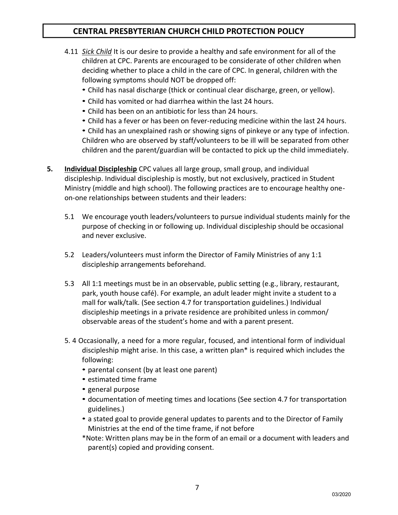- 4.11 *Sick Child* It is our desire to provide a healthy and safe environment for all of the children at CPC. Parents are encouraged to be considerate of other children when deciding whether to place a child in the care of CPC. In general, children with the following symptoms should NOT be dropped off:
	- Child has nasal discharge (thick or continual clear discharge, green, or yellow).
	- Child has vomited or had diarrhea within the last 24 hours.
	- Child has been on an antibiotic for less than 24 hours.
	- Child has a fever or has been on fever-reducing medicine within the last 24 hours.

• Child has an unexplained rash or showing signs of pinkeye or any type of infection. Children who are observed by staff/volunteers to be ill will be separated from other children and the parent/guardian will be contacted to pick up the child immediately.

- **5. Individual Discipleship** CPC values all large group, small group, and individual discipleship. Individual discipleship is mostly, but not exclusively, practiced in Student Ministry (middle and high school). The following practices are to encourage healthy oneon-one relationships between students and their leaders:
	- 5.1 We encourage youth leaders/volunteers to pursue individual students mainly for the purpose of checking in or following up. Individual discipleship should be occasional and never exclusive.
	- 5.2 Leaders/volunteers must inform the Director of Family Ministries of any 1:1 discipleship arrangements beforehand.
	- 5.3 All 1:1 meetings must be in an observable, public setting (e.g., library, restaurant, park, youth house café). For example, an adult leader might invite a student to a mall for walk/talk. (See section 4.7 for transportation guidelines.) Individual discipleship meetings in a private residence are prohibited unless in common/ observable areas of the student's home and with a parent present.
	- 5. 4 Occasionally, a need for a more regular, focused, and intentional form of individual discipleship might arise. In this case, a written plan\* is required which includes the following:
		- parental consent (by at least one parent)
		- estimated time frame
		- general purpose
		- documentation of meeting times and locations (See section 4.7 for transportation guidelines.)
		- a stated goal to provide general updates to parents and to the Director of Family Ministries at the end of the time frame, if not before
		- \*Note: Written plans may be in the form of an email or a document with leaders and parent(s) copied and providing consent.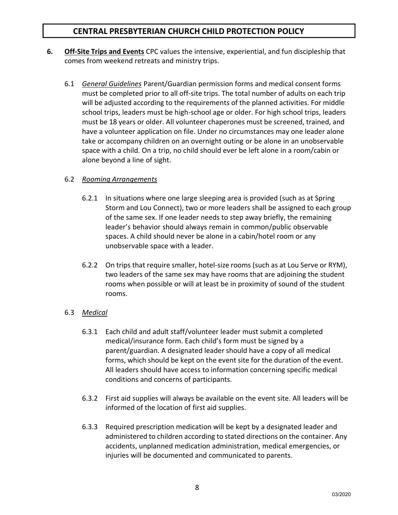- **6. Off-Site Trips and Events** CPC values the intensive, experiential, and fun discipleship that comes from weekend retreats and ministry trips.
	- 6.1 *General Guidelines* Parent/Guardian permission forms and medical consent forms must be completed prior to all off-site trips. The total number of adults on each trip will be adjusted according to the requirements of the planned activities. For middle school trips, leaders must be high-school age or older. For high school trips, leaders must be 18 years or older. All volunteer chaperones must be screened, trained, and have a volunteer application on file. Under no circumstances may one leader alone take or accompany children on an overnight outing or be alone in an unobservable space with a child. On a trip, no child should ever be left alone in a room/cabin or alone beyond a line of sight.

### 6.2 *Rooming Arrangements*

- 6.2.1 In situations where one large sleeping area is provided (such as at Spring Storm and Lou Connect), two or more leaders shall be assigned to each group of the same sex. If one leader needs to step away briefly, the remaining leader's behavior should always remain in common/public observable spaces. A child should never be alone in a cabin/hotel room or any unobservable space with a leader.
- 6.2.2 On trips that require smaller, hotel-size rooms (such as at Lou Serve or RYM), two leaders of the same sex may have rooms that are adjoining the student rooms when possible or will at least be in proximity of sound of the student rooms.

### 6.3 *Medical*

- 6.3.1 Each child and adult staff/volunteer leader must submit a completed medical/insurance form. Each child's form must be signed by a parent/guardian. A designated leader should have a copy of all medical forms, which should be kept on the event site for the duration of the event. All leaders should have access to information concerning specific medical conditions and concerns of participants.
- 6.3.2 First aid supplies will always be available on the event site. All leaders will be informed of the location of first aid supplies.
- 6.3.3 Required prescription medication will be kept by a designated leader and administered to children according to stated directions on the container. Any accidents, unplanned medication administration, medical emergencies, or injuries will be documented and communicated to parents.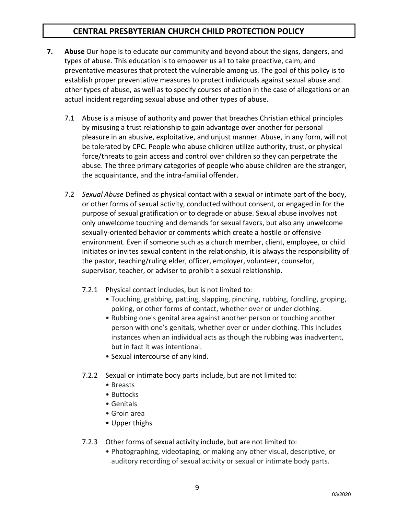- **7. Abuse** Our hope is to educate our community and beyond about the signs, dangers, and types of abuse. This education is to empower us all to take proactive, calm, and preventative measures that protect the vulnerable among us. The goal of this policy is to establish proper preventative measures to protect individuals against sexual abuse and other types of abuse, as well as to specify courses of action in the case of allegations or an actual incident regarding sexual abuse and other types of abuse.
	- 7.1 Abuse is a misuse of authority and power that breaches Christian ethical principles by misusing a trust relationship to gain advantage over another for personal pleasure in an abusive, exploitative, and unjust manner. Abuse, in any form, will not be tolerated by CPC. People who abuse children utilize authority, trust, or physical force/threats to gain access and control over children so they can perpetrate the abuse. The three primary categories of people who abuse children are the stranger, the acquaintance, and the intra-familial offender.
	- 7.2 *Sexual Abuse* Defined as physical contact with a sexual or intimate part of the body, or other forms of sexual activity, conducted without consent, or engaged in for the purpose of sexual gratification or to degrade or abuse. Sexual abuse involves not only unwelcome touching and demands for sexual favors, but also any unwelcome sexually-oriented behavior or comments which create a hostile or offensive environment. Even if someone such as a church member, client, employee, or child initiates or invites sexual content in the relationship, it is always the responsibility of the pastor, teaching/ruling elder, officer, employer, volunteer, counselor, supervisor, teacher, or adviser to prohibit a sexual relationship.
		- 7.2.1 Physical contact includes, but is not limited to:
			- Touching, grabbing, patting, slapping, pinching, rubbing, fondling, groping, poking, or other forms of contact, whether over or under clothing.
			- Rubbing one's genital area against another person or touching another person with one's genitals, whether over or under clothing. This includes instances when an individual acts as though the rubbing was inadvertent, but in fact it was intentional.
			- Sexual intercourse of any kind.
		- 7.2.2 Sexual or intimate body parts include, but are not limited to:
			- Breasts
			- Buttocks
			- Genitals
			- Groin area
			- Upper thighs
		- 7.2.3 Other forms of sexual activity include, but are not limited to:
			- Photographing, videotaping, or making any other visual, descriptive, or auditory recording of sexual activity or sexual or intimate body parts.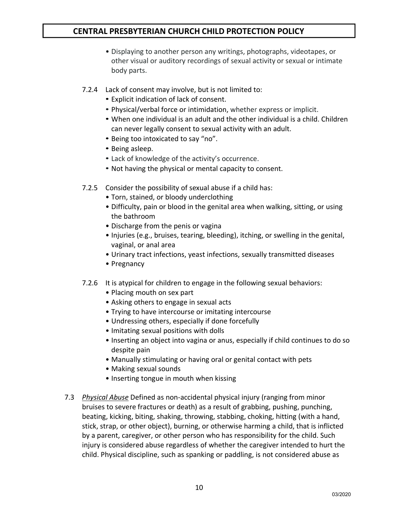- Displaying to another person any writings, photographs, videotapes, or other visual or auditory recordings of sexual activity or sexual or intimate body parts.
- 7.2.4 Lack of consent may involve, but is not limited to:
	- Explicit indication of lack of consent.
	- Physical/verbal force or intimidation, whether express or implicit.
	- When one individual is an adult and the other individual is a child. Children can never legally consent to sexual activity with an adult.
	- Being too intoxicated to say "no".
	- Being asleep.
	- Lack of knowledge of the activity's occurrence.
	- Not having the physical or mental capacity to consent.
- 7.2.5 Consider the possibility of sexual abuse if a child has:
	- Torn, stained, or bloody underclothing
	- Difficulty, pain or blood in the genital area when walking, sitting, or using the bathroom
	- Discharge from the penis or vagina
	- Injuries (e.g., bruises, tearing, bleeding), itching, or swelling in the genital, vaginal, or anal area
	- Urinary tract infections, yeast infections, sexually transmitted diseases
	- Pregnancy
- 7.2.6 It is atypical for children to engage in the following sexual behaviors:
	- Placing mouth on sex part
	- Asking others to engage in sexual acts
	- Trying to have intercourse or imitating intercourse
	- Undressing others, especially if done forcefully
	- Imitating sexual positions with dolls
	- Inserting an object into vagina or anus, especially if child continues to do so despite pain
	- Manually stimulating or having oral or genital contact with pets
	- Making sexual sounds
	- Inserting tongue in mouth when kissing
- 7.3 *Physical Abuse* Defined as non-accidental physical injury (ranging from minor bruises to severe fractures or death) as a result of grabbing, pushing, punching, beating, kicking, biting, shaking, throwing, stabbing, choking, hitting (with a hand, stick, strap, or other object), burning, or otherwise harming a child, that is inflicted by a parent, caregiver, or other person who has responsibility for the child. Such injury is considered abuse regardless of whether the caregiver intended to hurt the child. Physical discipline, such as spanking or paddling, is not considered abuse as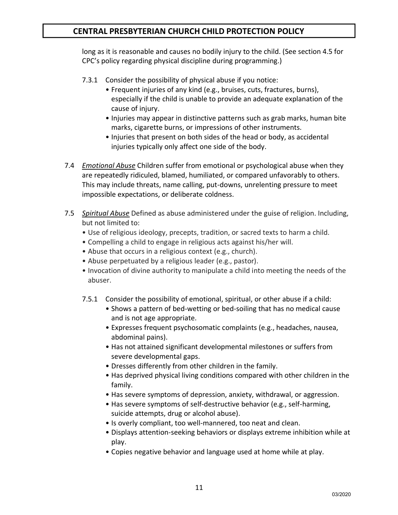long as it is reasonable and causes no bodily injury to the child. (See section 4.5 for CPC's policy regarding physical discipline during programming.)

- 7.3.1 Consider the possibility of physical abuse if you notice:
	- Frequent injuries of any kind (e.g., bruises, cuts, fractures, burns), especially if the child is unable to provide an adequate explanation of the cause of injury.
	- Injuries may appear in distinctive patterns such as grab marks, human bite marks, cigarette burns, or impressions of other instruments.
	- Injuries that present on both sides of the head or body, as accidental injuries typically only affect one side of the body.
- 7.4 *Emotional Abuse* Children suffer from emotional or psychological abuse when they are repeatedly ridiculed, blamed, humiliated, or compared unfavorably to others. This may include threats, name calling, put-downs, unrelenting pressure to meet impossible expectations, or deliberate coldness.
- 7.5 *Spiritual Abuse* Defined as abuse administered under the guise of religion. Including, but not limited to:
	- Use of religious ideology, precepts, tradition, or sacred texts to harm a child.
	- Compelling a child to engage in religious acts against his/her will.
	- Abuse that occurs in a religious context (e.g., church).
	- Abuse perpetuated by a religious leader (e.g., pastor).
	- Invocation of divine authority to manipulate a child into meeting the needs of the abuser.
	- 7.5.1 Consider the possibility of emotional, spiritual, or other abuse if a child:
		- Shows a pattern of bed-wetting or bed-soiling that has no medical cause and is not age appropriate.
		- Expresses frequent psychosomatic complaints (e.g., headaches, nausea, abdominal pains).
		- Has not attained significant developmental milestones or suffers from severe developmental gaps.
		- Dresses differently from other children in the family.
		- Has deprived physical living conditions compared with other children in the family.
		- Has severe symptoms of depression, anxiety, withdrawal, or aggression.
		- Has severe symptoms of self-destructive behavior (e.g., self-harming, suicide attempts, drug or alcohol abuse).
		- Is overly compliant, too well-mannered, too neat and clean.
		- Displays attention-seeking behaviors or displays extreme inhibition while at play.
		- Copies negative behavior and language used at home while at play.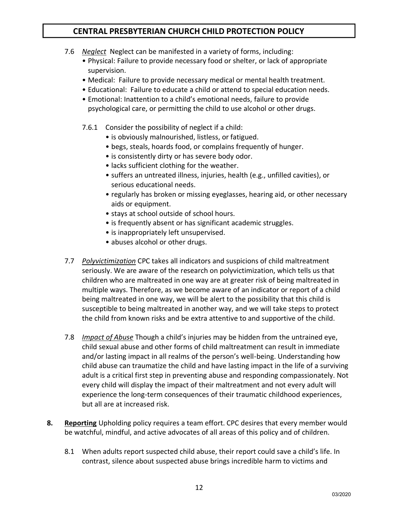- 7.6 *Neglect* Neglect can be manifested in a variety of forms, including:
	- Physical: Failure to provide necessary food or shelter, or lack of appropriate supervision.
	- Medical: Failure to provide necessary medical or mental health treatment.
	- Educational: Failure to educate a child or attend to special education needs.
	- Emotional: Inattention to a child's emotional needs, failure to provide psychological care, or permitting the child to use alcohol or other drugs.
	- 7.6.1 Consider the possibility of neglect if a child:
		- is obviously malnourished, listless, or fatigued.
		- begs, steals, hoards food, or complains frequently of hunger.
		- is consistently dirty or has severe body odor.
		- lacks sufficient clothing for the weather.
		- suffers an untreated illness, injuries, health (e.g., unfilled cavities), or serious educational needs.
		- regularly has broken or missing eyeglasses, hearing aid, or other necessary aids or equipment.
		- stays at school outside of school hours.
		- is frequently absent or has significant academic struggles.
		- is inappropriately left unsupervised.
		- abuses alcohol or other drugs.
- 7.7 *Polyvictimization* CPC takes all indicators and suspicions of child maltreatment seriously. We are aware of the research on polyvictimization, which tells us that children who are maltreated in one way are at greater risk of being maltreated in multiple ways. Therefore, as we become aware of an indicator or report of a child being maltreated in one way, we will be alert to the possibility that this child is susceptible to being maltreated in another way, and we will take steps to protect the child from known risks and be extra attentive to and supportive of the child.
- 7.8 *Impact of Abuse* Though a child's injuries may be hidden from the untrained eye, child sexual abuse and other forms of child maltreatment can result in immediate and/or lasting impact in all realms of the person's well-being. Understanding how child abuse can traumatize the child and have lasting impact in the life of a surviving adult is a critical first step in preventing abuse and responding compassionately. Not every child will display the impact of their maltreatment and not every adult will experience the long-term consequences of their traumatic childhood experiences, but all are at increased risk.
- **8. Reporting** Upholding policy requires a team effort. CPC desires that every member would be watchful, mindful, and active advocates of all areas of this policy and of children.
	- 8.1 When adults report suspected child abuse, their report could save a child's life. In contrast, silence about suspected abuse brings incredible harm to victims and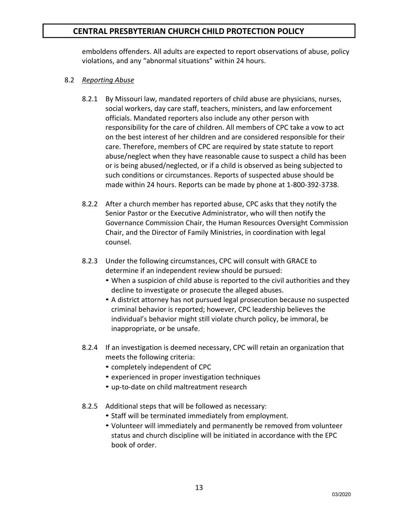emboldens offenders. All adults are expected to report observations of abuse, policy violations, and any "abnormal situations" within 24 hours.

#### 8.2 *Reporting Abuse*

- 8.2.1 By Missouri law, mandated reporters of child abuse are physicians, nurses, social workers, day care staff, teachers, ministers, and law enforcement officials. Mandated reporters also include any other person with responsibility for the care of children. All members of CPC take a vow to act on the best interest of her children and are considered responsible for their care. Therefore, members of CPC are required by state statute to report abuse/neglect when they have reasonable cause to suspect a child has been or is being abused/neglected, or if a child is observed as being subjected to such conditions or circumstances. Reports of suspected abuse should be made within 24 hours. Reports can be made by phone at 1-800-392-3738.
- 8.2.2 After a church member has reported abuse, CPC asks that they notify the Senior Pastor or the Executive Administrator, who will then notify the Governance Commission Chair, the Human Resources Oversight Commission Chair, and the Director of Family Ministries, in coordination with legal counsel.
- 8.2.3 Under the following circumstances, CPC will consult with GRACE to determine if an independent review should be pursued:
	- When a suspicion of child abuse is reported to the civil authorities and they decline to investigate or prosecute the alleged abuses.
	- A district attorney has not pursued legal prosecution because no suspected criminal behavior is reported; however, CPC leadership believes the individual's behavior might still violate church policy, be immoral, be inappropriate, or be unsafe.
- 8.2.4 If an investigation is deemed necessary, CPC will retain an organization that meets the following criteria:
	- completely independent of CPC
	- experienced in proper investigation techniques
	- up-to-date on child maltreatment research
- 8.2.5 Additional steps that will be followed as necessary:
	- Staff will be terminated immediately from employment.
	- Volunteer will immediately and permanently be removed from volunteer status and church discipline will be initiated in accordance with the EPC book of order.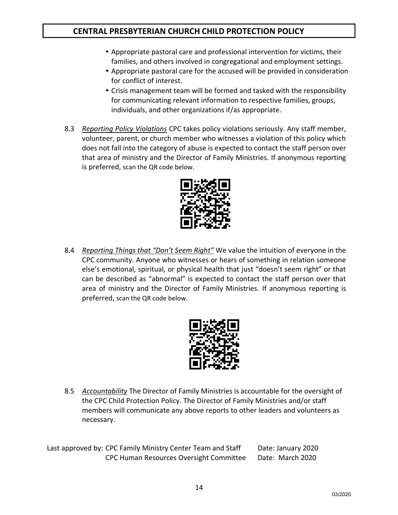- Appropriate pastoral care and professional intervention for victims, their families, and others involved in congregational and employment settings.
- Appropriate pastoral care for the accused will be provided in consideration for conflict of interest.
- Crisis management team will be formed and tasked with the responsibility for communicating relevant information to respective families, groups, individuals, and other organizations if/as appropriate.
- 8.3 *Reporting Policy Violations* CPC takes policy violations seriously. Any staff member, volunteer, parent, or church member who witnesses a violation of this policy which does not fall into the category of abuse is expected to contact the staff person over that area of ministry and the Director of Family Ministries. If anonymous reporting is preferred, scan the QR code below.



8.4 *Reporting Things that "Don't Seem Right"* We value the intuition of everyone in the CPC community. Anyone who witnesses or hears of something in relation someone else's emotional, spiritual, or physical health that just "doesn't seem right" or that can be described as "abnormal" is expected to contact the staff person over that area of ministry and the Director of Family Ministries. If anonymous reporting is preferred, scan the QR code below.



8.5 *Accountability* The Director of Family Ministries is accountable for the oversight of the CPC Child Protection Policy. The Director of Family Ministries and/or staff members will communicate any above reports to other leaders and volunteers as necessary.

Last approved by: CPC Family Ministry Center Team and Staff Date: January 2020 CPC Human Resources Oversight Committee Date: March 2020